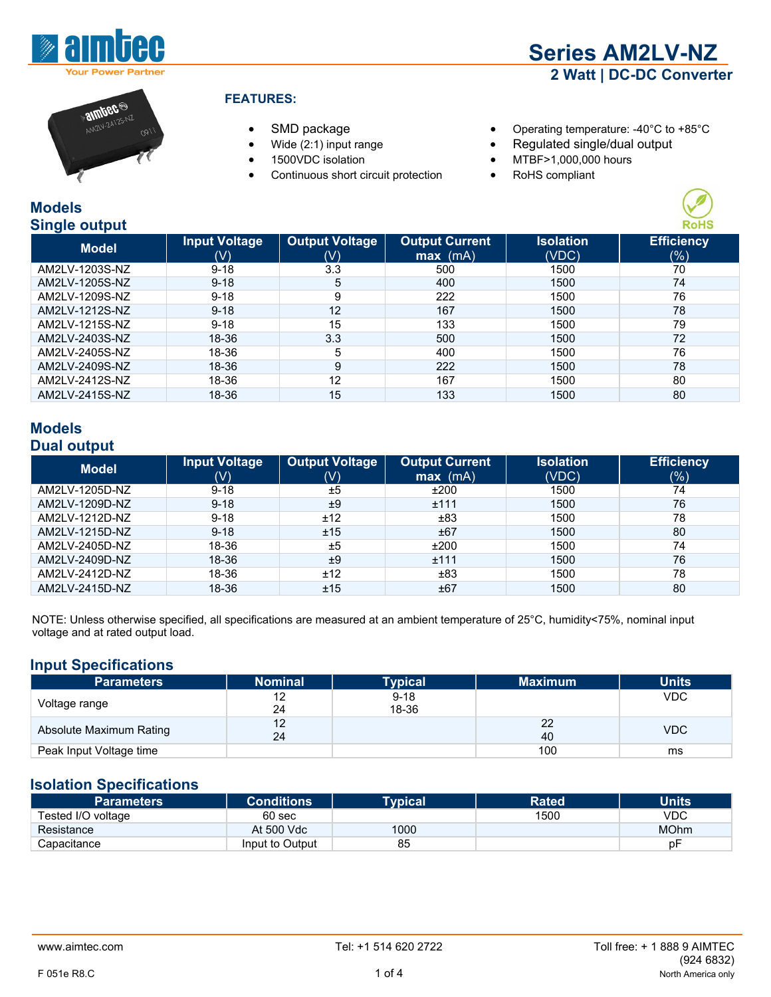



- 
- 
- 
- Continuous short circuit protection RoHS compliant
- SMD package Operating temperature: -40°C to +85°C
	- Wide (2:1) input range **•** Regulated single/dual output
	- 1500VDC isolation MTBF>1,000,000 hours
		-



| omgio output   |                           |                              |                                     |                           |                          |
|----------------|---------------------------|------------------------------|-------------------------------------|---------------------------|--------------------------|
| <b>Model</b>   | <b>Input Voltage</b><br>W | <b>Output Voltage</b><br>(V) | <b>Output Current</b><br>$max$ (mA) | <b>Isolation</b><br>(VDC) | <b>Efficiency</b><br>(%) |
| AM2LV-1203S-NZ | $9 - 18$                  | 3.3                          | 500                                 | 1500                      | 70                       |
| AM2LV-1205S-NZ | $9 - 18$                  | 5                            | 400                                 | 1500                      | 74                       |
| AM2LV-1209S-NZ | $9 - 18$                  | 9                            | 222                                 | 1500                      | 76                       |
| AM2LV-1212S-NZ | $9 - 18$                  | 12                           | 167                                 | 1500                      | 78                       |
| AM2LV-1215S-NZ | $9 - 18$                  | 15                           | 133                                 | 1500                      | 79                       |
| AM2LV-2403S-NZ | 18-36                     | 3.3                          | 500                                 | 1500                      | 72                       |
| AM2LV-2405S-NZ | 18-36                     | 5                            | 400                                 | 1500                      | 76                       |
| AM2LV-2409S-NZ | 18-36                     | 9                            | 222                                 | 1500                      | 78                       |
| AM2LV-2412S-NZ | 18-36                     | 12                           | 167                                 | 1500                      | 80                       |
| AM2LV-2415S-NZ | 18-36                     | 15                           | 133                                 | 1500                      | 80                       |
|                |                           |                              |                                     |                           |                          |

#### **Models Dual output**

| .<br><b>Model</b> | <b>Input Voltage</b><br>(V) | <b>Output Voltage</b><br>(V) | <b>Output Current</b><br>$max$ (mA) | <b>Isolation</b><br>(VDC) | <b>Efficiency</b><br>$(\%)$ |
|-------------------|-----------------------------|------------------------------|-------------------------------------|---------------------------|-----------------------------|
| AM2LV-1205D-NZ    | $9 - 18$                    | ±5                           | ±200                                | 1500                      | 74                          |
| AM2LV-1209D-NZ    | $9 - 18$                    | ±9                           | ±111                                | 1500                      | 76                          |
| AM2LV-1212D-NZ    | $9 - 18$                    | ±12                          | ±83                                 | 1500                      | 78                          |
| AM2LV-1215D-NZ    | $9 - 18$                    | ±15                          | ±67                                 | 1500                      | 80                          |
| AM2LV-2405D-NZ    | 18-36                       | ±5                           | ±200                                | 1500                      | 74                          |
| AM2LV-2409D-NZ    | 18-36                       | ±9                           | ±111                                | 1500                      | 76                          |
| AM2LV-2412D-NZ    | 18-36                       | ±12                          | ±83                                 | 1500                      | 78                          |
| AM2LV-2415D-NZ    | 18-36                       | ±15                          | ±67                                 | 1500                      | 80                          |

NOTE: Unless otherwise specified, all specifications are measured at an ambient temperature of 25°C, humidity<75%, nominal input voltage and at rated output load.

#### **Input Specifications**

| <b>Parameters</b>       | <b>Nominal</b> | <b>Typical</b> | <b>Maximum</b> | <b>Units</b> |
|-------------------------|----------------|----------------|----------------|--------------|
|                         | 12             | $9 - 18$       |                | <b>VDC</b>   |
| Voltage range           | 24             | 18-36          |                |              |
| Absolute Maximum Rating | 12             |                | 22             | <b>VDC</b>   |
|                         | 24             |                | 40             |              |
| Peak Input Voltage time |                |                | 100            | ms           |

## **Isolation Specifications**

| <b>Parameters</b>  | <b>Conditions</b> | <b>Typical</b> | <b>Rated</b> | <b>Units</b> |
|--------------------|-------------------|----------------|--------------|--------------|
| Tested I/O voltage | 60 sec            |                | 1500         | <b>VDC</b>   |
| Resistance         | At 500 Vdc        | 1000           |              | <b>MOhm</b>  |
| Capacitance        | Input to Output   | 85             |              | рF           |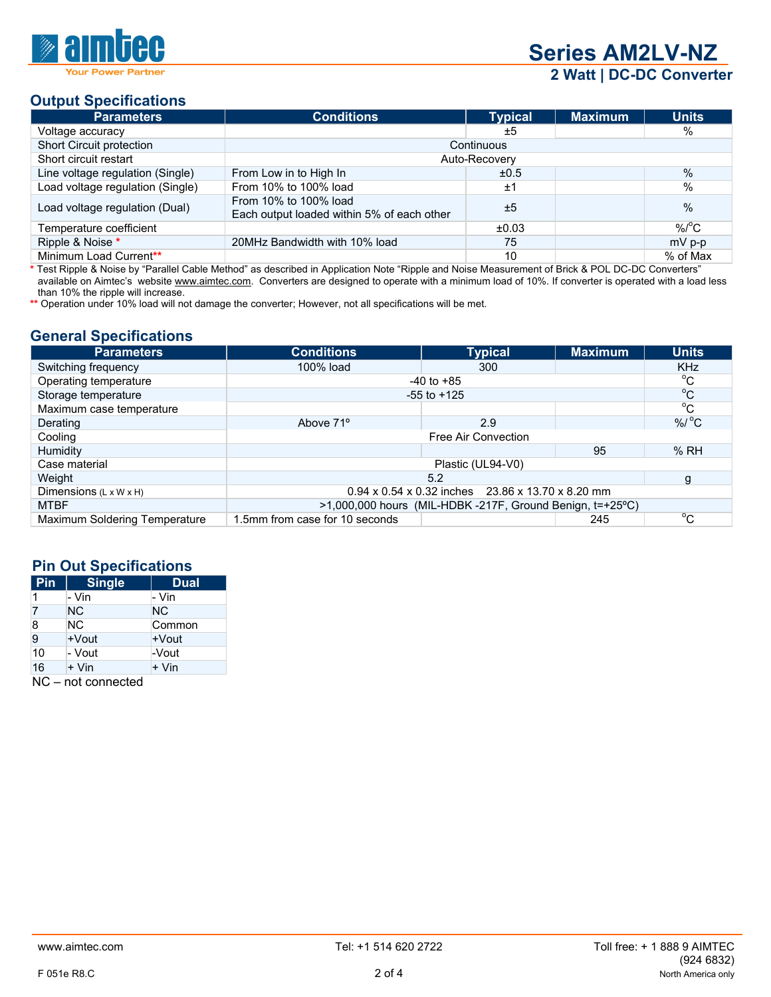

**Series AM2LV-NZ Series AM2LV-NZ 2 Watt | DC-DC Converter** 

# **Output Specifications**

| <b>Parameters</b>                | <b>Conditions</b>                                                   | <b>Typical</b> | <b>Maximum</b> | <b>Units</b>       |  |
|----------------------------------|---------------------------------------------------------------------|----------------|----------------|--------------------|--|
| Voltage accuracy                 |                                                                     | ±5             |                | $\%$               |  |
| Short Circuit protection         | Continuous                                                          |                |                |                    |  |
| Short circuit restart            | Auto-Recovery                                                       |                |                |                    |  |
| Line voltage regulation (Single) | From Low in to High In                                              | ±0.5           |                | $\%$               |  |
| Load voltage regulation (Single) | From 10% to 100% load                                               | ±1             |                | $\%$               |  |
| Load voltage regulation (Dual)   | From 10% to 100% load<br>Each output loaded within 5% of each other | ±5             |                | $\%$               |  |
| Temperature coefficient          |                                                                     | ±0.03          |                | $%$ <sup>o</sup> C |  |
| Ripple & Noise *                 | 20MHz Bandwidth with 10% load                                       | 75             |                | mV p-p             |  |
| Minimum Load Current**           |                                                                     | 10             |                | % of Max           |  |

**\*** Test Ripple & Noise by "Parallel Cable Method" as described in Application Note "Ripple and Noise Measurement of Brick & POL DC-DC Converters" available on Aimtec's website www.aimtec.com. Converters are designed to operate with a minimum load of 10%. If converter is operated with a load less than 10% the ripple will increase.

**\*\*** Operation under 10% load will not damage the converter; However, not all specifications will be met.

#### **General Specifications**

| <b>Parameters</b>                  | <b>Conditions</b>                                                     | <b>Typical</b>      | <b>Maximum</b> | <b>Units</b> |
|------------------------------------|-----------------------------------------------------------------------|---------------------|----------------|--------------|
| Switching frequency                | 100% load                                                             | 300                 |                | <b>KHz</b>   |
| Operating temperature              |                                                                       | $-40$ to $+85$      |                | $^{\circ}C$  |
| Storage temperature                | $-55$ to $+125$                                                       | $^{\circ}$ C        |                |              |
| Maximum case temperature           |                                                                       |                     |                | $^{\circ}$ C |
| Derating                           | Above 71 <sup>°</sup>                                                 | 2.9                 |                | $% /$ °C     |
| Cooling                            |                                                                       | Free Air Convection |                |              |
| Humidity                           |                                                                       |                     | 95             | %RH          |
| Case material                      |                                                                       |                     |                |              |
| Weight                             | 5.2                                                                   |                     | g              |              |
| Dimensions $(L \times W \times H)$ | $0.94 \times 0.54 \times 0.32$ inches 23.86 x 13.70 x 8.20 mm         |                     |                |              |
| <b>MTBF</b>                        | $>1,000,000$ hours (MIL-HDBK -217F, Ground Benign, $t=+25^{\circ}C$ ) |                     |                |              |
| Maximum Soldering Temperature      | 1.5mm from case for 10 seconds                                        |                     | 245            | $^{\circ}$ C |

## **Pin Out Specifications**

| Pin                             | <b>Single</b> | <b>Dual</b> |  |  |
|---------------------------------|---------------|-------------|--|--|
|                                 | - Vin         | - Vin       |  |  |
| 7                               | NC.           | <b>NC</b>   |  |  |
| 8                               | NC.           | Common      |  |  |
| $\overline{9}$                  | +Vout         | +Vout       |  |  |
| 10                              | - Vout        | -Vout       |  |  |
| 16                              | + Vin         | + Vin       |  |  |
| $\overline{N}$<br>nat aannaatad |               |             |  |  |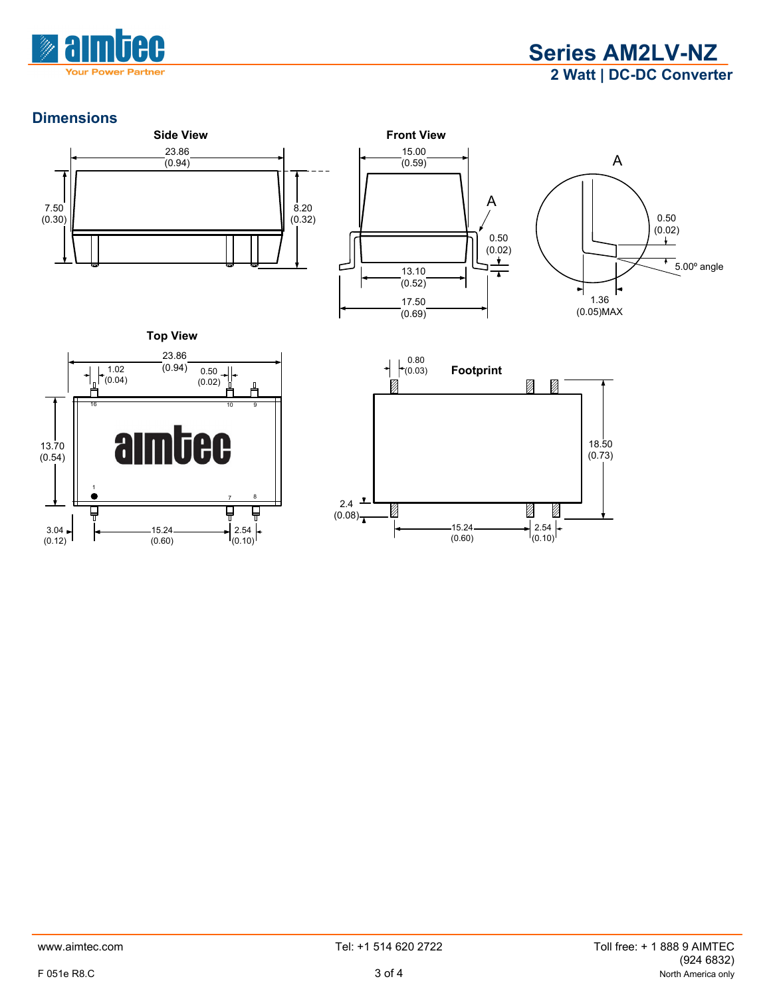



# **Dimensions**